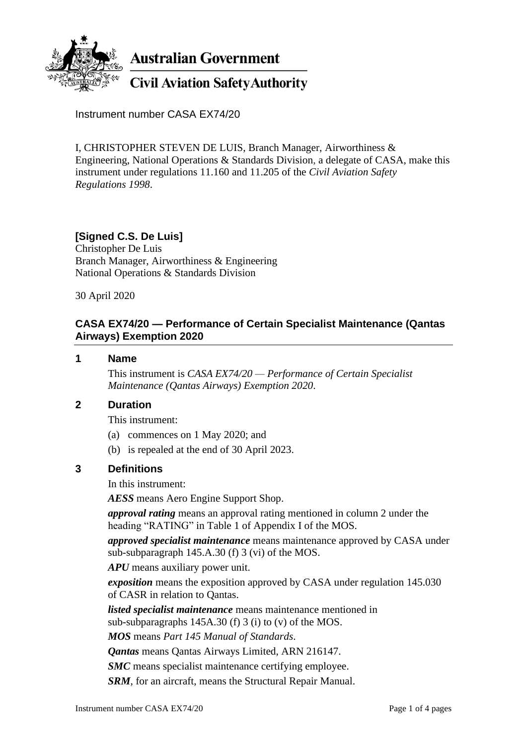

**Australian Government** 

# **Civil Aviation Safety Authority**

Instrument number CASA EX74/20

I, CHRISTOPHER STEVEN DE LUIS, Branch Manager, Airworthiness & Engineering, National Operations & Standards Division, a delegate of CASA, make this instrument under regulations 11.160 and 11.205 of the *Civil Aviation Safety Regulations 1998*.

# **[Signed C.S. De Luis]**

Christopher De Luis Branch Manager, Airworthiness & Engineering National Operations & Standards Division

30 April 2020

### **CASA EX74/20 — Performance of Certain Specialist Maintenance (Qantas Airways) Exemption 2020**

#### **1 Name**

This instrument is *CASA EX74/20 — Performance of Certain Specialist Maintenance (Qantas Airways) Exemption 2020*.

### **2 Duration**

This instrument:

- (a) commences on 1 May 2020; and
- (b) is repealed at the end of 30 April 2023.

### **3 Definitions**

In this instrument:

*AESS* means Aero Engine Support Shop.

*approval rating* means an approval rating mentioned in column 2 under the heading "RATING" in Table 1 of Appendix I of the MOS.

*approved specialist maintenance* means maintenance approved by CASA under sub-subparagraph 145.A.30 (f) 3 (vi) of the MOS.

*APU* means auxiliary power unit.

*exposition* means the exposition approved by CASA under regulation 145.030 of CASR in relation to Qantas.

*listed specialist maintenance* means maintenance mentioned in

sub-subparagraphs 145A.30 (f) 3 (i) to (v) of the MOS.

*MOS* means *Part 145 Manual of Standards*.

*Qantas* means Qantas Airways Limited, ARN 216147.

*SMC* means specialist maintenance certifying employee.

*SRM*, for an aircraft, means the Structural Repair Manual.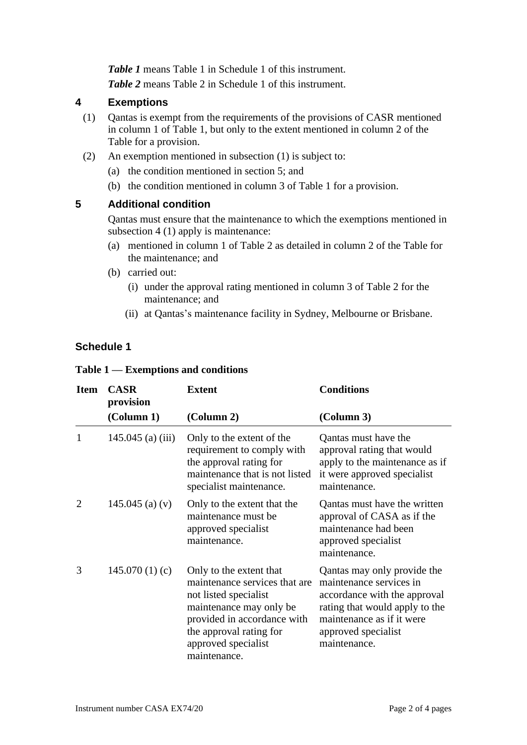*Table 1* means Table 1 in Schedule 1 of this instrument. *Table 2* means Table 2 in Schedule 1 of this instrument.

### **4 Exemptions**

- (1) Qantas is exempt from the requirements of the provisions of CASR mentioned in column 1 of Table 1, but only to the extent mentioned in column 2 of the Table for a provision.
- (2) An exemption mentioned in subsection (1) is subject to:
	- (a) the condition mentioned in section 5; and
	- (b) the condition mentioned in column 3 of Table 1 for a provision.

#### **5 Additional condition**

Qantas must ensure that the maintenance to which the exemptions mentioned in subsection 4 (1) apply is maintenance:

- (a) mentioned in column 1 of Table 2 as detailed in column 2 of the Table for the maintenance; and
- (b) carried out:
	- (i) under the approval rating mentioned in column 3 of Table 2 for the maintenance; and
	- (ii) at Qantas's maintenance facility in Sydney, Melbourne or Brisbane.

### **Schedule 1**

|  |  |  |  | Table $1$ — Exemptions and conditions |
|--|--|--|--|---------------------------------------|
|--|--|--|--|---------------------------------------|

| <b>Item</b>    | <b>CASR</b><br>provision | <b>Extent</b>                                                                                                                                                                                                 | <b>Conditions</b>                                                                                                                                                                            |
|----------------|--------------------------|---------------------------------------------------------------------------------------------------------------------------------------------------------------------------------------------------------------|----------------------------------------------------------------------------------------------------------------------------------------------------------------------------------------------|
|                | (Column 1)               | (Column 2)                                                                                                                                                                                                    | (Column 3)                                                                                                                                                                                   |
|                | $145.045$ (a) (iii)      | Only to the extent of the<br>requirement to comply with<br>the approval rating for<br>maintenance that is not listed<br>specialist maintenance.                                                               | Qantas must have the<br>approval rating that would<br>apply to the maintenance as if<br>it were approved specialist<br>maintenance.                                                          |
| $\overline{2}$ | 145.045 (a) $(v)$        | Only to the extent that the<br>maintenance must be.<br>approved specialist<br>maintenance.                                                                                                                    | Qantas must have the written<br>approval of CASA as if the<br>maintenance had been<br>approved specialist<br>maintenance.                                                                    |
| 3              | 145.070(1)(c)            | Only to the extent that<br>maintenance services that are<br>not listed specialist<br>maintenance may only be<br>provided in accordance with<br>the approval rating for<br>approved specialist<br>maintenance. | Qantas may only provide the<br>maintenance services in<br>accordance with the approval<br>rating that would apply to the<br>maintenance as if it were<br>approved specialist<br>maintenance. |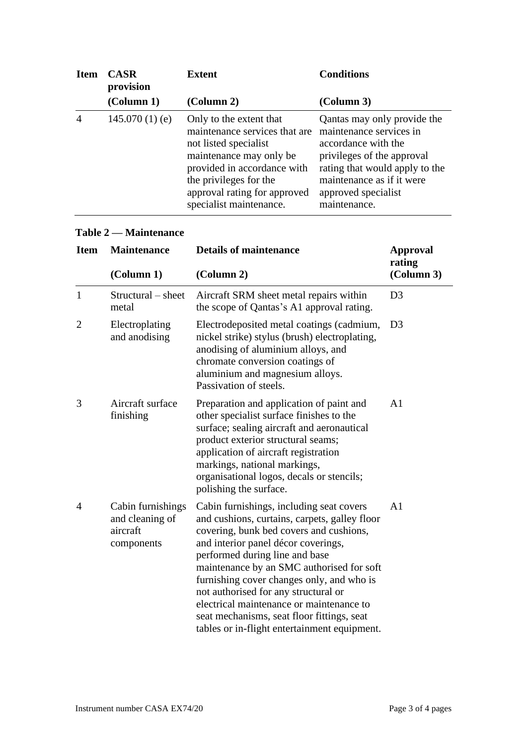| <b>Item</b>    | <b>CASR</b><br>provision    | Extent                                                                                                                                                                                                                           | <b>Conditions</b>                                                                                                                                                                                                 |
|----------------|-----------------------------|----------------------------------------------------------------------------------------------------------------------------------------------------------------------------------------------------------------------------------|-------------------------------------------------------------------------------------------------------------------------------------------------------------------------------------------------------------------|
|                | $\left($ Column 1 $\right)$ | (Column 2)                                                                                                                                                                                                                       | $\left($ Column 3 $\right)$                                                                                                                                                                                       |
| $\overline{A}$ | $145.070(1)$ (e)            | Only to the extent that<br>maintenance services that are<br>not listed specialist<br>maintenance may only be<br>provided in accordance with<br>the privileges for the<br>approval rating for approved<br>specialist maintenance. | Qantas may only provide the<br>maintenance services in<br>accordance with the<br>privileges of the approval<br>rating that would apply to the<br>maintenance as if it were<br>approved specialist<br>maintenance. |

## **Table 2 — Maintenance**

| <b>Item</b>    | <b>Maintenance</b>                                             | <b>Details of maintenance</b>                                                                                                                                                                                                                                                                                                                                                                                                                                                             | <b>Approval</b><br>rating |
|----------------|----------------------------------------------------------------|-------------------------------------------------------------------------------------------------------------------------------------------------------------------------------------------------------------------------------------------------------------------------------------------------------------------------------------------------------------------------------------------------------------------------------------------------------------------------------------------|---------------------------|
|                | (Column 1)<br>(Column 2)                                       |                                                                                                                                                                                                                                                                                                                                                                                                                                                                                           | (Column 3)                |
| $\mathbf{1}$   | $Structural - sheet$<br>metal                                  | Aircraft SRM sheet metal repairs within<br>the scope of Qantas's A1 approval rating.                                                                                                                                                                                                                                                                                                                                                                                                      | D <sub>3</sub>            |
| $\overline{2}$ | Electroplating<br>and anodising                                | Electrodeposited metal coatings (cadmium,<br>nickel strike) stylus (brush) electroplating,<br>anodising of aluminium alloys, and<br>chromate conversion coatings of<br>aluminium and magnesium alloys.<br>Passivation of steels.                                                                                                                                                                                                                                                          | D <sub>3</sub>            |
| 3              | Aircraft surface<br>finishing                                  | Preparation and application of paint and<br>other specialist surface finishes to the<br>surface; sealing aircraft and aeronautical<br>product exterior structural seams;<br>application of aircraft registration<br>markings, national markings,<br>organisational logos, decals or stencils;<br>polishing the surface.                                                                                                                                                                   | A <sub>1</sub>            |
| $\overline{4}$ | Cabin furnishings<br>and cleaning of<br>aircraft<br>components | Cabin furnishings, including seat covers<br>and cushions, curtains, carpets, galley floor<br>covering, bunk bed covers and cushions,<br>and interior panel décor coverings,<br>performed during line and base<br>maintenance by an SMC authorised for soft<br>furnishing cover changes only, and who is<br>not authorised for any structural or<br>electrical maintenance or maintenance to<br>seat mechanisms, seat floor fittings, seat<br>tables or in-flight entertainment equipment. | A <sub>1</sub>            |